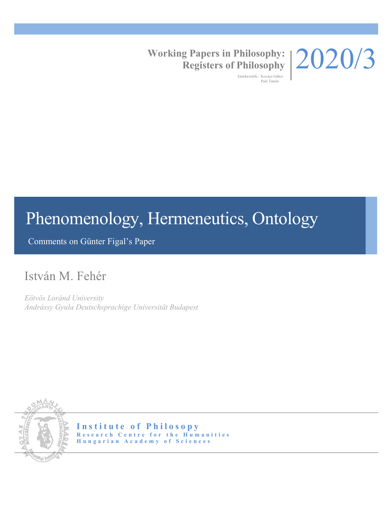

#### **Working Papers in Philosophy: Registers of Philosophy**

Szerkesztők: Kovács Gábor Paár Tamás

# Phenomenology, Hermeneutics, Ontology

Comments on Günter Figal's Paper

## István M. Fehér

*Eötvös Loránd University Andrássy Gyula Deutschsprachige Universität Budapest*



**Institute of Philosopy Research Centre for the Humanities Hungarian Academy of Sciences**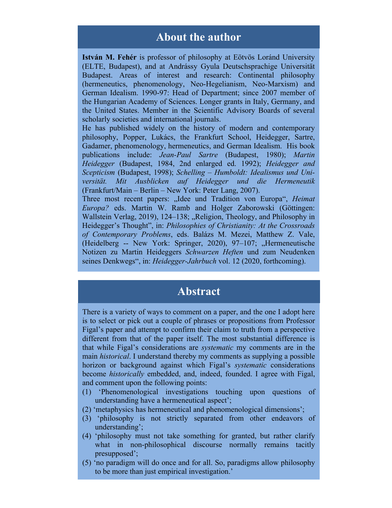#### **About the author**

**István M. Fehér** is professor of philosophy at Eötvös Loránd University (ELTE, Budapest), and at Andrássy Gyula Deutschsprachige Universität Budapest. Areas of interest and research: Continental philosophy (hermeneutics, phenomenology, Neo-Hegelianism, Neo-Marxism) and German Idealism. 1990-97: Head of Department; since 2007 member of the Hungarian Academy of Sciences. Longer grants in Italy, Germany, and the United States. Member in the Scientific Advisory Boards of several scholarly societies and international journals.

He has published widely on the history of modern and contemporary philosophy, Popper, Lukács, the Frankfurt School, Heidegger, Sartre, Gadamer, phenomenology, hermeneutics, and German Idealism. His book publications include: *Jean-Paul Sartre* (Budapest, 1980); *Martin Heidegger* (Budapest, 1984, 2nd enlarged ed. 1992); *Heidegger and Scepticism* (Budapest, 1998); *Schelling – Humboldt: Idealismus und Universität. Mit Ausblicken auf Heidegger und die Hermeneutik* (Frankfurt/Main – Berlin – New York: Peter Lang, 2007).

Three most recent papers: "Idee und Tradition von Europa", *Heimat Europa?* eds. Martin W. Ramb and Holger Zaborowski (Göttingen: Wallstein Verlag, 2019), 124-138; "Religion, Theology, and Philosophy in Heidegger's Thought", in: *Philosophies of Christianity: At the Crossroads of Contemporary Problems*, eds. Balázs M. Mezei, Matthew Z. Vale, (Heidelberg -- New York: Springer, 2020), 97-107; "Hermeneutische Notizen zu Martin Heideggers *Schwarzen Heften* und zum Neudenken seines Denkwegs", in: *Heidegger-Jahrbuch* vol. 12 (2020, forthcoming).

### **Abstract**

There is a variety of ways to comment on a paper, and the one I adopt here is to select or pick out a couple of phrases or propositions from Professor Figal's paper and attempt to confirm their claim to truth from a perspective different from that of the paper itself. The most substantial difference is that while Figal's considerations are *systematic* my comments are in the main *historical*. I understand thereby my comments as supplying a possible horizon or background against which Figal's *systematic* considerations become *historically* embedded, and, indeed, founded. I agree with Figal, and comment upon the following points:

- (1) 'Phenomenological investigations touching upon questions of understanding have a hermeneutical aspect';
- (2) 'metaphysics has hermeneutical and phenomenological dimensions';
- (3) 'philosophy is not strictly separated from other endeavors of understanding';
- (4) 'philosophy must not take something for granted, but rather clarify what in non-philosophical discourse normally remains tacitly presupposed';
- (5) 'no paradigm will do once and for all. So, paradigms allow philosophy to be more than just empirical investigation.'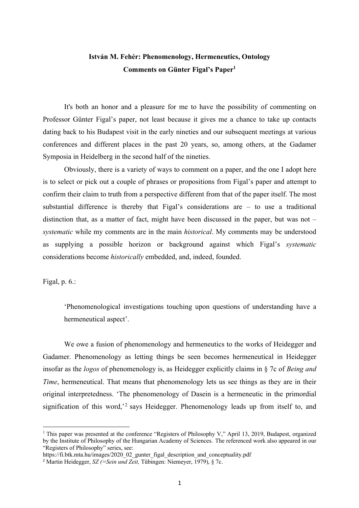#### **István M. Fehér: Phenomenology, Hermeneutics, Ontology Comments on Günter Figal's Paper1**

It's both an honor and a pleasure for me to have the possibility of commenting on Professor Günter Figal's paper, not least because it gives me a chance to take up contacts dating back to his Budapest visit in the early nineties and our subsequent meetings at various conferences and different places in the past 20 years, so, among others, at the Gadamer Symposia in Heidelberg in the second half of the nineties.

Obviously, there is a variety of ways to comment on a paper, and the one I adopt here is to select or pick out a couple of phrases or propositions from Figal's paper and attempt to confirm their claim to truth from a perspective different from that of the paper itself. The most substantial difference is thereby that Figal's considerations are – to use a traditional distinction that, as a matter of fact, might have been discussed in the paper, but was not – *systematic* while my comments are in the main *historical*. My comments may be understood as supplying a possible horizon or background against which Figal's *systematic*  considerations become *historically* embedded, and, indeed, founded.

Figal, p. 6.:

'Phenomenological investigations touching upon questions of understanding have a hermeneutical aspect'.

We owe a fusion of phenomenology and hermeneutics to the works of Heidegger and Gadamer. Phenomenology as letting things be seen becomes hermeneutical in Heidegger insofar as the *logos* of phenomenology is, as Heidegger explicitly claims in § 7c of *Being and Time*, hermeneutical. That means that phenomenology lets us see things as they are in their original interpretedness. 'The phenomenology of Dasein is a hermeneutic in the primordial signification of this word,<sup>2</sup> says Heidegger. Phenomenology leads up from itself to, and

<sup>&</sup>lt;sup>1</sup> This paper was presented at the conference "Registers of Philosophy V," April 13, 2019, Budapest, organized by the Institute of Philosophy of the Hungarian Academy of Sciences. The referenced work also appeared in our "Registers of Philosophy" series, see:

https://fi.btk.mta.hu/images/2020\_02\_gunter\_figal\_description\_and\_conceptuality.pdf

<sup>&</sup>lt;sup>2</sup> Martin Heidegger, *SZ (=Sein und Zeit*, Tübingen: Niemeyer, 1979), § 7c.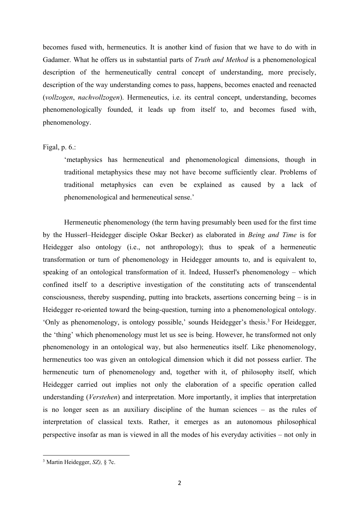becomes fused with, hermeneutics. It is another kind of fusion that we have to do with in Gadamer. What he offers us in substantial parts of *Truth and Method* is a phenomenological description of the hermeneutically central concept of understanding, more precisely, description of the way understanding comes to pass, happens, becomes enacted and reenacted (*vollzogen*, *nachvollzogen*). Hermeneutics, i.e. its central concept, understanding, becomes phenomenologically founded, it leads up from itself to, and becomes fused with, phenomenology.

#### Figal, p. 6.:

'metaphysics has hermeneutical and phenomenological dimensions, though in traditional metaphysics these may not have become sufficiently clear. Problems of traditional metaphysics can even be explained as caused by a lack of phenomenological and hermeneutical sense.'

Hermeneutic phenomenology (the term having presumably been used for the first time by the Husserl–Heidegger disciple Oskar Becker) as elaborated in *Being and Time* is for Heidegger also ontology (i.e., not anthropology); thus to speak of a hermeneutic transformation or turn of phenomenology in Heidegger amounts to, and is equivalent to, speaking of an ontological transformation of it. Indeed, Husserl's phenomenology – which confined itself to a descriptive investigation of the constituting acts of transcendental consciousness, thereby suspending, putting into brackets, assertions concerning being – is in Heidegger re-oriented toward the being-question, turning into a phenomenological ontology. 'Only as phenomenology, is ontology possible,' sounds Heidegger's thesis.3 For Heidegger, the 'thing' which phenomenology must let us see is being. However, he transformed not only phenomenology in an ontological way, but also hermeneutics itself. Like phenomenology, hermeneutics too was given an ontological dimension which it did not possess earlier. The hermeneutic turn of phenomenology and, together with it, of philosophy itself, which Heidegger carried out implies not only the elaboration of a specific operation called understanding (*Verstehen*) and interpretation. More importantly, it implies that interpretation is no longer seen as an auxiliary discipline of the human sciences – as the rules of interpretation of classical texts. Rather, it emerges as an autonomous philosophical perspective insofar as man is viewed in all the modes of his everyday activities – not only in

<sup>3</sup> Martin Heidegger, *SZ),* § 7c.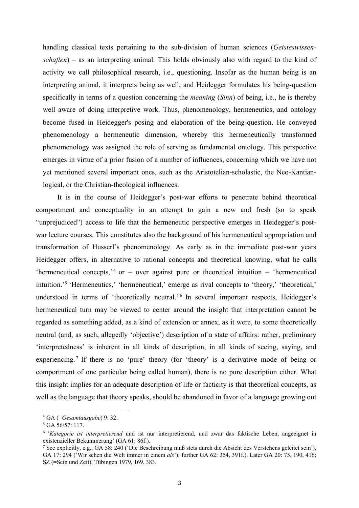handling classical texts pertaining to the sub-division of human sciences (*Geisteswissenschaften*) – as an interpreting animal. This holds obviously also with regard to the kind of activity we call philosophical research, i.e., questioning. Insofar as the human being is an interpreting animal, it interprets being as well, and Heidegger formulates his being-question specifically in terms of a question concerning the *meaning* (*Sinn*) of being, i.e., he is thereby well aware of doing interpretive work. Thus, phenomenology, hermeneutics, and ontology become fused in Heidegger's posing and elaboration of the being-question. He conveyed phenomenology a hermeneutic dimension, whereby this hermeneutically transformed phenomenology was assigned the role of serving as fundamental ontology. This perspective emerges in virtue of a prior fusion of a number of influences, concerning which we have not yet mentioned several important ones, such as the Aristotelian-scholastic, the Neo-Kantianlogical, or the Christian-theological influences.

It is in the course of Heidegger's post-war efforts to penetrate behind theoretical comportment and conceptuality in an attempt to gain a new and fresh (so to speak "unprejudiced") access to life that the hermeneutic perspective emerges in Heidegger's postwar lecture courses. This constitutes also the background of his hermeneutical appropriation and transformation of Husserl's phenomenology. As early as in the immediate post-war years Heidegger offers, in alternative to rational concepts and theoretical knowing, what he calls 'hermeneutical concepts,<sup> $4$ </sup> or – over against pure or theoretical intuition – 'hermeneutical intuition.' <sup>5</sup> 'Hermeneutics,' 'hermeneutical,' emerge as rival concepts to 'theory,' 'theoretical,' understood in terms of 'theoretically neutral.'<sup>6</sup> In several important respects, Heidegger's hermeneutical turn may be viewed to center around the insight that interpretation cannot be regarded as something added, as a kind of extension or annex, as it were, to some theoretically neutral (and, as such, allegedly 'objective') description of a state of affairs: rather, preliminary 'interpretedness' is inherent in all kinds of description, in all kinds of seeing, saying, and experiencing.<sup>7</sup> If there is no 'pure' theory (for 'theory' is a derivative mode of being or comportment of one particular being called human), there is no pure description either. What this insight implies for an adequate description of life or facticity is that theoretical concepts, as well as the language that theory speaks, should be abandoned in favor of a language growing out

<sup>4</sup> GA (=*Gesamtausgabe*) 9: 32.

<sup>5</sup> GA 56/57: 117.

<sup>&</sup>lt;sup>6</sup> '*Kategorie ist interpretierend* und ist nur interpretierend, und zwar das faktische Leben, angeeignet in existenzieller Bekümmerung' (GA 61: 86f.).

<sup>7</sup> See explicitly, e.g., GA 58: 240 ('Die Beschreibung muß stets durch die Absicht des Verstehens geleitet sein'), GA 17: 294 ('Wir sehen die Welt immer in einem *als*'); further GA 62: 354, 391f.). Later GA 20: 75, 190, 416; SZ (=Sein und Zeit), Tübingen 1979, 169, 383.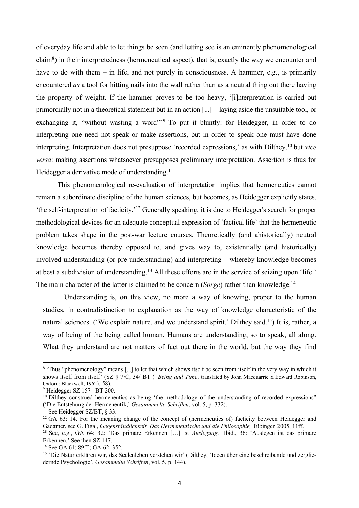of everyday life and able to let things be seen (and letting see is an eminently phenomenological claim<sup>8</sup>) in their interpretedness (hermeneutical aspect), that is, exactly the way we encounter and have to do with them – in life, and not purely in consciousness. A hammer, e.g., is primarily encountered *as* a tool for hitting nails into the wall rather than as a neutral thing out there having the property of weight. If the hammer proves to be too heavy, '[i]nterpretation is carried out primordially not in a theoretical statement but in an action [...] – laying aside the unsuitable tool, or exchanging it, "without wasting a word"<sup>9</sup> To put it bluntly: for Heidegger, in order to do interpreting one need not speak or make assertions, but in order to speak one must have done interpreting. Interpretation does not presuppose 'recorded expressions,' as with Dilthey,10 but *vice versa*: making assertions whatsoever presupposes preliminary interpretation. Assertion is thus for Heidegger a derivative mode of understanding.<sup>11</sup>

This phenomenological re-evaluation of interpretation implies that hermeneutics cannot remain a subordinate discipline of the human sciences, but becomes, as Heidegger explicitly states, 'the self-interpretation of facticity.' <sup>12</sup> Generally speaking, it is due to Heidegger's search for proper methodological devices for an adequate conceptual expression of 'factical life' that the hermeneutic problem takes shape in the post-war lecture courses. Theoretically (and ahistorically) neutral knowledge becomes thereby opposed to, and gives way to, existentially (and historically) involved understanding (or pre-understanding) and interpreting – whereby knowledge becomes at best a subdivision of understanding.13 All these efforts are in the service of seizing upon 'life.' The main character of the latter is claimed to be concern (*Sorge*) rather than knowledge.<sup>14</sup>

Understanding is, on this view, no more a way of knowing, proper to the human studies, in contradistinction to explanation as the way of knowledge characteristic of the natural sciences. ('We explain nature, and we understand spirit,' Dilthey said.<sup>15</sup>) It is, rather, a way of being of the being called human. Humans are understanding, so to speak, all along. What they understand are not matters of fact out there in the world, but the way they find

<sup>&</sup>lt;sup>8</sup> 'Thus "phenomenology" means [...] to let that which shows itself be seen from itself in the very way in which it shows itself from itself' (SZ § 7/C, 34/ BT (=*Being and Time*, translated by John Macquarrie & Edward Robinson, Oxford: Blackwell, 1962), 58).

 $9$  Heidegger SZ 157= BT 200.

<sup>&</sup>lt;sup>10</sup> Dilthey construed hermeneutics as being 'the methodology of the understanding of recorded expressions" ('Die Entstehung der Hermeneutik,' *Gesammmelte Schriften*, vol. 5, p. 332).

<sup>&</sup>lt;sup>11</sup> See Heidegger SZ/BT, § 33.

<sup>&</sup>lt;sup>12</sup> GA 63: 14. For the meaning change of the concept of (hermeneutics of) facticity between Heidegger and Gadamer, see G. Figal, *Gegenständlichkeit. Das Hermeneutische und die Philosophie,* Tübingen 2005, 11ff.

<sup>13</sup> See, e.g., GA 64: 32: 'Das primäre Erkennen […] ist *Auslegung*.' Ibid., 36: 'Auslegen ist das primäre Erkennen.' See then SZ 147.

<sup>14</sup> See GA 61: 89ff.; GA 62: 352.

<sup>15</sup> 'Die Natur erklären wir, das Seelenleben verstehen wir' (Dilthey, 'Ideen über eine beschreibende und zergliedernde Psychologie', *Gesammelte Schriften*, vol. 5, p. 144).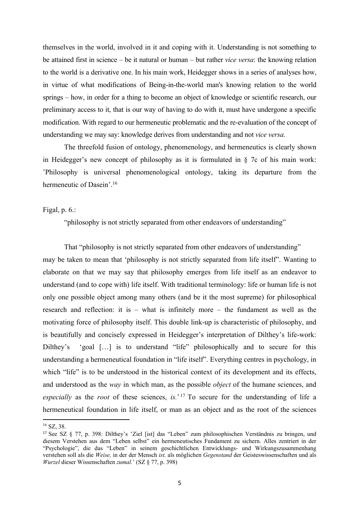themselves in the world, involved in it and coping with it. Understanding is not something to be attained first in science – be it natural or human – but rather *vice versa*: the knowing relation to the world is a derivative one. In his main work, Heidegger shows in a series of analyses how, in virtue of what modifications of Being-in-the-world man's knowing relation to the world springs – how, in order for a thing to become an object of knowledge or scientific research, our preliminary access to it, that is our way of having to do with it, must have undergone a specific modification. With regard to our hermeneutic problematic and the re-evaluation of the concept of understanding we may say: knowledge derives from understanding and not *vice versa*.

The threefold fusion of ontology, phenomenology, and hermeneutics is clearly shown in Heidegger's new concept of philosophy as it is formulated in § 7c of his main work: 'Philosophy is universal phenomenological ontology, taking its departure from the hermeneutic of Dasein'.<sup>16</sup>

Figal, p. 6.:

"philosophy is not strictly separated from other endeavors of understanding"

That "philosophy is not strictly separated from other endeavors of understanding" may be taken to mean that 'philosophy is not strictly separated from life itself". Wanting to elaborate on that we may say that philosophy emerges from life itself as an endeavor to understand (and to cope with) life itself. With traditional terminology: life or human life is not only one possible object among many others (and be it the most supreme) for philosophical research and reflection: it is – what is infinitely more – the fundament as well as the motivating force of philosophy itself. This double link-up is characteristic of philosophy, and is beautifully and concisely expressed in Heidegger's interpretation of Dilthey's life-work: Dilthey's 'goal [...] is to understand "life" philosophically and to secure for this understanding a hermeneutical foundation in "life itself". Everything centres in psychology, in which "life" is to be understood in the historical context of its development and its effects, and understood as the *way* in which man, as the possible *object* of the humane sciences, and *especially* as the *root* of these sciences, *is.*' <sup>17</sup> To secure for the understanding of life a hermeneutical foundation in life itself, or man as an object and as the root of the sciences

<sup>16</sup> SZ, 38.

<sup>17</sup> See SZ § 77, p. 398: Dilthey's 'Ziel [ist] das "Leben" zum philosophischen Verständnis zu bringen, und diesem Verstehen aus dem "Leben selbst" ein hermeneutisches Fundament zu sichern. Alles zentriert in der "Psychologie", die das "Leben" in seinem geschichtlichen Entwicklungs- und Wirkungszusammenhang verstehen soll als die *Weise,* in der der Mensch *ist,* als möglichen *Gegenstand* der Geisteswissenschaften und als *Wurzel* dieser Wissenschaften *zumal.*' (SZ § 77, p. 398)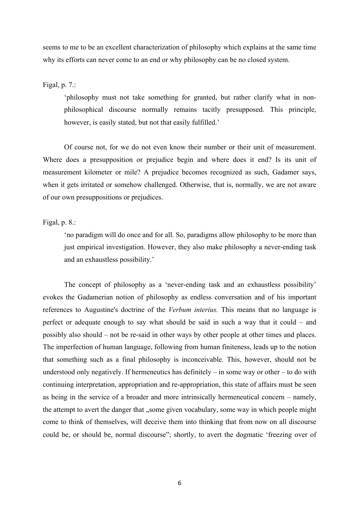seems to me to be an excellent characterization of philosophy which explains at the same time why its efforts can never come to an end or why philosophy can be no closed system.

Figal, p. 7.:

'philosophy must not take something for granted, but rather clarify what in nonphilosophical discourse normally remains tacitly presupposed. This principle, however, is easily stated, but not that easily fulfilled.'

Of course not, for we do not even know their number or their unit of measurement. Where does a presupposition or prejudice begin and where does it end? Is its unit of measurement kilometer or mile? A prejudice becomes recognized as such, Gadamer says, when it gets irritated or somehow challenged. Otherwise, that is, normally, we are not aware of our own presuppositions or prejudices.

Figal, p. 8.:

'no paradigm will do once and for all. So, paradigms allow philosophy to be more than just empirical investigation. However, they also make philosophy a never-ending task and an exhaustless possibility.'

The concept of philosophy as a 'never-ending task and an exhaustless possibility' evokes the Gadamerian notion of philosophy as endless conversation and of his important references to Augustine's doctrine of the *Verbum interius.* This means that no language is perfect or adequate enough to say what should be said in such a way that it could – and possibly also should – not be re-said in other ways by other people at other times and places. The imperfection of human language, following from human finiteness, leads up to the notion that something such as a final philosophy is inconceivable. This, however, should not be understood only negatively. If hermeneutics has definitely – in some way or other – to do with continuing interpretation, appropriation and re-appropriation, this state of affairs must be seen as being in the service of a broader and more intrinsically hermeneutical concern – namely, the attempt to avert the danger that "some given vocabulary, some way in which people might come to think of themselves, will deceive them into thinking that from now on all discourse could be, or should be, normal discourse"; shortly, to avert the dogmatic 'freezing over of